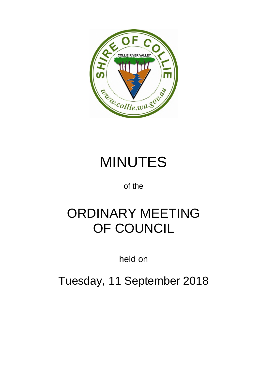

# MINUTES

of the

# ORDINARY MEETING OF COUNCIL

held on

Tuesday, 11 September 2018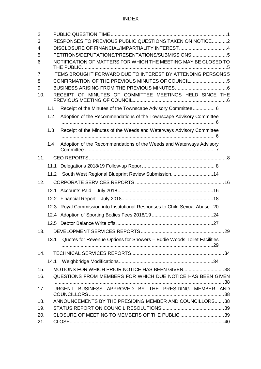| 2.<br>3.<br>$\mathbf{4}$ .<br>5.<br>6.<br>7.<br>8.<br>9.<br>10. |      | RESPONSES TO PREVIOUS PUBLIC QUESTIONS TAKEN ON NOTICE2<br>PETITIONS/DEPUTATIONS/PRESENTATIONS/SUBMISSIONS5<br>NOTIFICATION OF MATTERS FOR WHICH THE MEETING MAY BE CLOSED TO<br>ITEMS BROUGHT FORWARD DUE TO INTEREST BY ATTENDING PERSONS 5<br>CONFIRMATION OF THE PREVIOUS MINUTES OF COUNCIL<br>RECEIPT OF MINUTES OF COMMITTEE MEETINGS HELD SINCE THE |
|-----------------------------------------------------------------|------|-------------------------------------------------------------------------------------------------------------------------------------------------------------------------------------------------------------------------------------------------------------------------------------------------------------------------------------------------------------|
|                                                                 |      |                                                                                                                                                                                                                                                                                                                                                             |
|                                                                 | 1.1  | Receipt of the Minutes of the Townscape Advisory Committee 6                                                                                                                                                                                                                                                                                                |
|                                                                 | 1.2  | Adoption of the Recommendations of the Townscape Advisory Committee                                                                                                                                                                                                                                                                                         |
|                                                                 | 1.3  | Receipt of the Minutes of the Weeds and Waterways Advisory Committee                                                                                                                                                                                                                                                                                        |
|                                                                 | 1.4  | Adoption of the Recommendations of the Weeds and Waterways Advisory                                                                                                                                                                                                                                                                                         |
| 11.                                                             |      |                                                                                                                                                                                                                                                                                                                                                             |
|                                                                 | 11.1 |                                                                                                                                                                                                                                                                                                                                                             |
|                                                                 |      | 11.2 South West Regional Blueprint Review Submission. 14                                                                                                                                                                                                                                                                                                    |
| 12.                                                             |      |                                                                                                                                                                                                                                                                                                                                                             |
|                                                                 |      |                                                                                                                                                                                                                                                                                                                                                             |
|                                                                 |      |                                                                                                                                                                                                                                                                                                                                                             |
|                                                                 | 12.3 | Royal Commission into Institutional Responses to Child Sexual Abuse 20                                                                                                                                                                                                                                                                                      |
|                                                                 | 12.4 |                                                                                                                                                                                                                                                                                                                                                             |
|                                                                 |      |                                                                                                                                                                                                                                                                                                                                                             |
| 13.                                                             |      |                                                                                                                                                                                                                                                                                                                                                             |
|                                                                 | 13.1 | Quotes for Revenue Options for Showers - Eddie Woods Toilet Facilities                                                                                                                                                                                                                                                                                      |
| 14.                                                             |      |                                                                                                                                                                                                                                                                                                                                                             |
|                                                                 | 14.1 |                                                                                                                                                                                                                                                                                                                                                             |
| 15.<br>16.                                                      |      | MOTIONS FOR WHICH PRIOR NOTICE HAS BEEN GIVEN38<br>QUESTIONS FROM MEMBERS FOR WHICH DUE NOTICE HAS BEEN GIVEN                                                                                                                                                                                                                                               |
| 17.                                                             |      | URGENT BUSINESS APPROVED BY THE PRESIDING MEMBER AND                                                                                                                                                                                                                                                                                                        |
| 18.                                                             |      | ANNOUNCEMENTS BY THE PRESIDING MEMBER AND COUNCILLORS38                                                                                                                                                                                                                                                                                                     |
| 19.                                                             |      |                                                                                                                                                                                                                                                                                                                                                             |
| 20.                                                             |      | CLOSURE OF MEETING TO MEMBERS OF THE PUBLIC 39                                                                                                                                                                                                                                                                                                              |
| 21.                                                             |      |                                                                                                                                                                                                                                                                                                                                                             |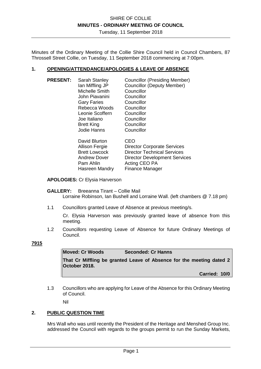Tuesday, 11 September 2018

Minutes of the Ordinary Meeting of the Collie Shire Council held in Council Chambers, 87 Throssell Street Collie, on Tuesday, 11 September 2018 commencing at 7:00pm.

#### **1. OPENING/ATTENDANCE/APOLOGIES & LEAVE OF ABSENCE**

**PRESENT:** Sarah Stanley Councillor (Presiding Member) Ian Miffling JP Councillor (Deputy Member) Michelle Smith Councillor<br>Iohn Piavanini Councillor John Piavanini Gary Faries Councillor<br>
Rebecca Woods Councillor Rebecca Woods Councillor<br>
Leonie Scoffern Councillor Leonie Scoffern Joe Italiano Councillor Brett King Councillor Jodie Hanns Councillor

| David Blurton         | CEO                                  |
|-----------------------|--------------------------------------|
| Allison Fergie        | <b>Director Corporate Services</b>   |
| <b>Brett Lowcock</b>  | <b>Director Technical Services</b>   |
| <b>Andrew Dover</b>   | <b>Director Development Services</b> |
| Pam Ahlin             | Acting CEO PA                        |
| <b>Hasreen Mandry</b> | Finance Manager                      |
|                       |                                      |

**APOLOGIES:** Cr Elysia Harverson

#### **GALLERY:** Breeanna Tirant – Collie Mail Lorraine Robinson, Ian Bushell and Lorraine Wall. (left chambers @ 7.18 pm)

1.1 Councillors granted Leave of Absence at previous meeting/s.

Cr. Elysia Harverson was previously granted leave of absence from this meeting.

1.2 Councillors requesting Leave of Absence for future Ordinary Meetings of Council.

**7915** 

| <b>Moved: Cr Woods</b> | <b>Seconded: Cr Hanns</b> |
|------------------------|---------------------------|
|------------------------|---------------------------|

**That Cr Miffling be granted Leave of Absence for the meeting dated 2 October 2018.** 

**Carried: 10/0** 

1.3 Councillors who are applying for Leave of the Absence for this Ordinary Meeting of Council.

Nil

### **2. PUBLIC QUESTION TIME**

Mrs Wall who was until recently the President of the Heritage and Menshed Group Inc. addressed the Council with regards to the groups permit to run the Sunday Markets,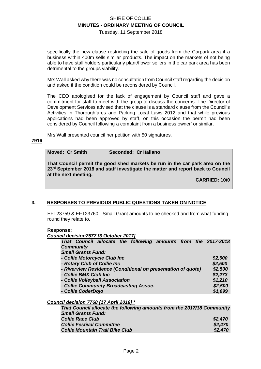Tuesday, 11 September 2018

specifically the new clause restricting the sale of goods from the Carpark area if a business within 400m sells similar products. The impact on the markets of not being able to have stall holders particularly plant/flower sellers in the car park area has been detrimental to the groups viability.

Mrs Wall asked why there was no consultation from Council staff regarding the decision and asked if the condition could be reconsidered by Council.

The CEO apologised for the lack of engagement by Council staff and gave a commitment for staff to meet with the group to discuss the concerns. The Director of Development Services advised that the clause is a standard clause from the Council's Activities in Thoroughfares and Parking Local Laws 2012 and that while previous applications had been approved by staff, on this occasion the permit had been considered by Council following a complaint from a business owner' or similar.

Mrs Wall presented council her petition with 50 signatures.

#### **7916**

#### **Moved: Cr Smith Seconded: Cr Italiano**

**That Council permit the good shed markets be run in the car park area on the 23rd September 2018 and staff investigate the matter and report back to Council at the next meeting.** 

**CARRIED: 10/0** 

#### **3. RESPONSES TO PREVIOUS PUBLIC QUESTIONS TAKEN ON NOTICE**

EFT23759 & EFT23760 - Small Grant amounts to be checked and from what funding round they relate to.

#### **Response:**

*Council decision7577 [3 October 2017]* 

| That Council allocate the following amounts from the 2017-2018 |         |
|----------------------------------------------------------------|---------|
| <b>Community</b>                                               |         |
| <b>Small Grants Fund:</b>                                      |         |
| - Collie Motorcycle Club Inc                                   | \$2,500 |
| - Rotary Club of Collie Inc                                    | \$2,500 |
| - Riverview Residence (Conditional on presentation of quote)   | \$2,500 |
| - Collie BMX Club Inc                                          | \$2,273 |
| - Collie Volleyball Association                                | \$1,210 |
| - Collie Community Broadcasting Assoc.                         | \$2,500 |
| - Collie CoderDojo                                             | \$1,699 |
|                                                                |         |

#### *Council decision 7768 [17 April 2018] \**

| That Council allocate the following amounts from the 2017/18 Community |         |
|------------------------------------------------------------------------|---------|
| <b>Small Grants Fund:</b>                                              |         |
| <b>Collie Race Club</b>                                                | \$2,470 |
| <b>Collie Festival Committee</b>                                       | \$2,470 |
| <b>Collie Mountain Trail Bike Club</b>                                 | \$2,470 |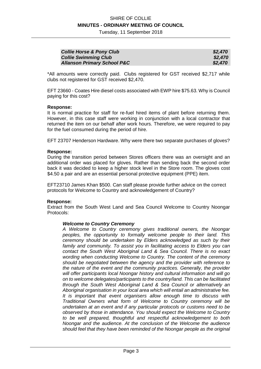Tuesday, 11 September 2018

| <b>Collie Horse &amp; Pony Club</b>    | \$2,470 |
|----------------------------------------|---------|
| <b>Collie Swimming Club</b>            | \$2,470 |
| <b>Allanson Primary School P&amp;C</b> | \$2,470 |

\*All amounts were correctly paid. Clubs registered for GST received \$2,717 while clubs not registered for GST received \$2,470.

EFT 23660 - Coates Hire diesel costs associated with EWP hire \$75.63. Why is Council paying for this cost?

#### **Response:**

It is normal practice for staff for re-fuel hired items of plant before returning them. However, in this case staff were working in conjunction with a local contractor that returned the item on our behalf after work hours. Therefore, we were required to pay for the fuel consumed during the period of hire.

EFT 23707 Henderson Hardware. Why were there two separate purchases of gloves?

#### **Response:**

During the transition period between Stores officers there was an oversight and an additional order was placed for gloves. Rather than sending back the second order back it was decided to keep a higher stock level in the Store room. The gloves cost \$4.50 a pair and are an essential personal protective equipment (PPE) item.

EFT23710 James Khan \$500. Can staff please provide further advice on the correct protocols for Welcome to Country and acknowledgement of Country?

#### **Response:**

Extract from the South West Land and Sea Council Welcome to Country Noongar Protocols:

#### *Welcome to Country Ceremony*

*A Welcome to Country ceremony gives traditional owners, the Noongar peoples, the opportunity to formally welcome people to their land. This ceremony should be undertaken by Elders acknowledged as such by their family and community. To assist you in facilitating access to Elders you can contact the South West Aboriginal Land & Sea Council. There is no exact wording when conducting Welcome to Country. The content of the ceremony should be negotiated between the agency and the provider with reference to the nature of the event and the community practices. Generally, the provider will offer participants local Noongar history and cultural information and will go on to welcome delegates/participants to the country/land. This can be facilitated through the South West Aboriginal Land & Sea Council or alternatively an Aboriginal organisation in your local area which will entail an administrative fee. It is important that event organisers allow enough time to discuss with Traditional Owners what form of Welcome to Country ceremony will be undertaken at an event and if any particular protocols or customs need to be observed by those in attendance. You should expect the Welcome to Country to be well prepared, thoughtful and respectful acknowledgement to both Noongar and the audience. At the conclusion of the Welcome the audience should feel that they have been reminded of the Noongar people as the original*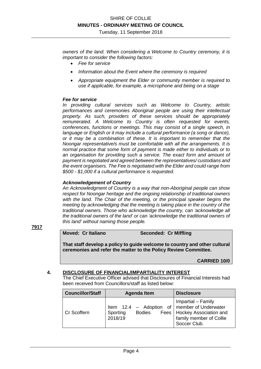*owners of the land. When considering a Welcome to Country ceremony, it is important to consider the following factors:* 

- *Fee for service*
- *Information about the Event where the ceremony is required*
- *Appropriate equipment the Elder or community member is required to use if applicable, for example, a microphone and being on a stage*

#### *Fee for service*

*In providing cultural services such as Welcome to Country, artistic performances and ceremonies Aboriginal people are using their intellectual property. As such, providers of these services should be appropriately remunerated. A Welcome to Country is often requested for events, conferences, functions or meetings. This may consist of a single speech, in language or English or it may include a cultural performance (a song or dance), or it may be a combination of these. It is important to remember that the Noongar representative/s must be comfortable with all the arrangements. It is normal practice that some form of payment is made either to individuals or to an organisation for providing such a service. The exact form and amount of payment is negotiated and agreed between the representatives/ custodians and the event organisers. The Fee is negotiated with the Elder and could range from \$500 - \$1,000 if a cultural performance is requested.* 

#### *Acknowledgement of Country*

*An Acknowledgment of Country is a way that non-Aboriginal people can show respect for Noongar heritage and the ongoing relationship of traditional owners with the land. The Chair of the meeting, or the principal speaker begins the meeting by acknowledging that the meeting is taking place in the country of the traditional owners. Those who acknowledge the country, can 'acknowledge all the traditional owners of the land' or can 'acknowledge the traditional owners of this land' without naming those people.* 

#### **7917**

#### **Moved: Cr Italiano Seconded: Cr Miffling**

**That staff develop a policy to guide welcome to country and other cultural ceremonies and refer the matter to the Policy Review Committee.** 

**CARRIED 10/0**

#### **4. DISCLOSURE OF FINANCIAL/IMPARTIALITY INTEREST**

The Chief Executive Officer advised that Disclosures of Financial Interests had been received from Councillors/staff as listed below:

| <b>Councillor/Staff</b> | <b>Agenda Item</b>                                                                       | <b>Disclosure</b>                                                                              |
|-------------------------|------------------------------------------------------------------------------------------|------------------------------------------------------------------------------------------------|
| Cr Scoffern             | Item $12.4$ – Adoption of   member of Underwater<br><b>Bodies</b><br>Sporting<br>2018/19 | Impartial - Family<br>Fees   Hockey Association and<br>family member of Collie<br>Soccer Club. |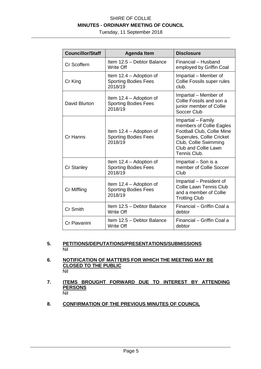Tuesday, 11 September 2018

| <b>Councillor/Staff</b> | <b>Agenda Item</b>                                                | <b>Disclosure</b>                                                                                                                                                          |  |
|-------------------------|-------------------------------------------------------------------|----------------------------------------------------------------------------------------------------------------------------------------------------------------------------|--|
| Cr Scoffern             | Item 12.5 - Debtor Balance<br><b>Write Off</b>                    | Financial - Husband<br>employed by Griffin Coal                                                                                                                            |  |
| Cr King                 | Item 12.4 - Adoption of<br><b>Sporting Bodies Fees</b><br>2018/19 | Impartial – Member of<br>Collie Fossils super rules<br>club.                                                                                                               |  |
| David Blurton           | Item 12.4 – Adoption of<br><b>Sporting Bodies Fees</b><br>2018/19 | Impartial - Member of<br>Collie Fossils and son a<br>junior member of Collie<br>Soccer Club                                                                                |  |
| Cr Hanns                | Item 12.4 – Adoption of<br><b>Sporting Bodies Fees</b><br>2018/19 | Impartial - Family<br>members of Collie Eagles<br>Football Club, Collie Mine<br>Superules, Collie Cricket<br>Club, Collie Swimming<br>Club and Collie Lawn<br>Tennis Club. |  |
| <b>Cr Stanley</b>       | Item 12.4 – Adoption of<br><b>Sporting Bodies Fees</b><br>2018/19 | Impartial - Son is a<br>member of Collie Soccer<br>Club                                                                                                                    |  |
| Cr Miffling             | Item 12.4 – Adoption of<br><b>Sporting Bodies Fees</b><br>2018/19 | Impartial – President of<br><b>Collie Lawn Tennis Club</b><br>and a member of Collie<br><b>Trotting Club</b>                                                               |  |
| Cr Smith                | Item 12.5 - Debtor Balance<br><b>Write Off</b>                    | Financial - Griffin Coal a<br>debtor                                                                                                                                       |  |
| Cr Piavanini            | Item 12.5 - Debtor Balance<br><b>Write Off</b>                    | Financial - Griffin Coal a<br>debtor                                                                                                                                       |  |

#### **5. PETITIONS/DEPUTATIONS/PRESENTATIONS/SUBMISSIONS**  Nil

- **6. NOTIFICATION OF MATTERS FOR WHICH THE MEETING MAY BE CLOSED TO THE PUBLIC**  Nil
- **7. ITEMS BROUGHT FORWARD DUE TO INTEREST BY ATTENDING PERSONS**  Nil
- **8. CONFIRMATION OF THE PREVIOUS MINUTES OF COUNCIL**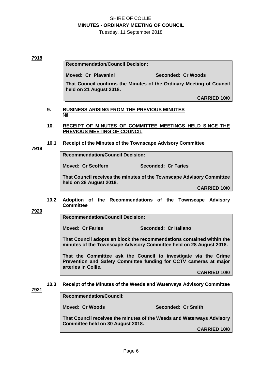Tuesday, 11 September 2018

#### **7918**

**Recommendation/Council Decision:** 

**Moved: Cr Piavanini Seconded: Cr Woods** 

**That Council confirms the Minutes of the Ordinary Meeting of Council held on 21 August 2018.** 

**CARRIED 10/0** 

- **9. BUSINESS ARISING FROM THE PREVIOUS MINUTES**  Nil
- **10. RECEIPT OF MINUTES OF COMMITTEE MEETINGS HELD SINCE THE PREVIOUS MEETING OF COUNCIL**
- **10.1 Receipt of the Minutes of the Townscape Advisory Committee**

**7919** 

**Recommendation/Council Decision:** 

**Moved: Cr Scoffern Seconded: Cr Faries** 

**That Council receives the minutes of the Townscape Advisory Committee held on 28 August 2018.** 

**CARRIED 10/0** 

**10.2 Adoption of the Recommendations of the Townscape Advisory Committee** 

**7920** 

**Recommendation/Council Decision:** 

**Moved: Cr Faries Seconded: Cr Italiano** 

**That Council adopts en block the recommendations contained within the minutes of the Townscape Advisory Committee held on 28 August 2018.** 

**That the Committee ask the Council to investigate via the Crime Prevention and Safety Committee funding for CCTV cameras at major arteries in Collie.** 

**CARRIED 10/0** 

#### **10.3 Receipt of the Minutes of the Weeds and Waterways Advisory Committee**

#### **7921**

**Recommendation/Council:** 

**Moved: Cr Woods Seconded: Cr Smith** 

**That Council receives the minutes of the Weeds and Waterways Advisory Committee held on 30 August 2018.** 

**CARRIED 10/0**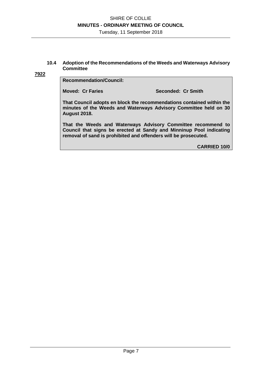Tuesday, 11 September 2018

#### **10.4 Adoption of the Recommendations of the Weeds and Waterways Advisory Committee**

#### **7922**

#### **Recommendation/Council:**

**Moved: Cr Faries Seconded: Cr Smith** 

**That Council adopts en block the recommendations contained within the minutes of the Weeds and Waterways Advisory Committee held on 30 August 2018.** 

**That the Weeds and Waterways Advisory Committee recommend to Council that signs be erected at Sandy and Minninup Pool indicating removal of sand is prohibited and offenders will be prosecuted.** 

**CARRIED 10/0**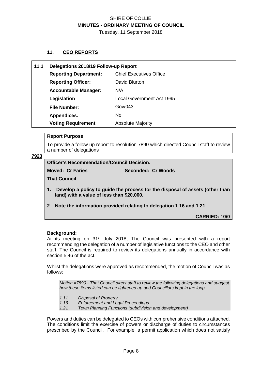### **11. CEO REPORTS**

| 11.1 | Delegations 2018/19 Follow-up Report |                                  |
|------|--------------------------------------|----------------------------------|
|      | <b>Reporting Department:</b>         | <b>Chief Executives Office</b>   |
|      | <b>Reporting Officer:</b>            | David Blurton                    |
|      | <b>Accountable Manager:</b>          | N/A                              |
|      | Legislation                          | <b>Local Government Act 1995</b> |
|      | <b>File Number:</b>                  | Gov/043                          |
|      | <b>Appendices:</b>                   | No.                              |
|      | <b>Voting Requirement</b>            | <b>Absolute Majority</b>         |

#### **Report Purpose:**

To provide a follow-up report to resolution 7890 which directed Council staff to review a number of delegations

#### **7923**

**Officer's Recommendation/Council Decision:** 

**Moved: Cr Faries Seconded: Cr Woods** 

**That Council** 

- **1. Develop a policy to guide the process for the disposal of assets (other than land) with a value of less than \$20,000.**
- **2. Note the information provided relating to delegation 1.16 and 1.21**

**CARRIED: 10/0** 

#### **Background:**

At its meeting on 31<sup>st</sup> July 2018, The Council was presented with a report recommending the delegation of a number of legislative functions to the CEO and other staff. The Council is required to review its delegations annually in accordance with section 5.46 of the act.

Whilst the delegations were approved as recommended, the motion of Council was as follows;

*Motion #7890 - That Council direct staff to review the following delegations and suggest how these items listed can be tightened up and Councillors kept in the loop.* 

- *1.11 Disposal of Property*
- *1.16 Enforcement and Legal Proceedings*
- *1.21 Town Planning Functions (subdivision and development)*

Powers and duties can be delegated to CEOs with comprehensive conditions attached. The conditions limit the exercise of powers or discharge of duties to circumstances prescribed by the Council. For example, a permit application which does not satisfy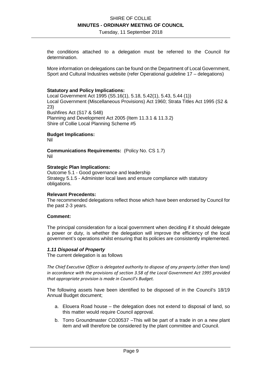Tuesday, 11 September 2018

the conditions attached to a delegation must be referred to the Council for determination.

More information on delegations can be found on the Department of Local Government, Sport and Cultural Industries website (refer Operational guideline 17 – delegations)

#### **Statutory and Policy Implications:**

Local Government Act 1995 (S5.16(1), 5.18, 5.42(1), 5.43, 5.44 (1)) Local Government (Miscellaneous Provisions) Act 1960; Strata Titles Act 1995 (S2 & 23) Bushfires Act (S17 & S48) Planning and Development Act 2005 (Item 11.3.1 & 11.3.2) Shire of Collie Local Planning Scheme #5

#### **Budget Implications:**

Nil

**Communications Requirements:** (Policy No. CS 1.7) Nil

#### **Strategic Plan Implications:**

Outcome 5.1 - Good governance and leadership Strategy 5.1.5 - Administer local laws and ensure compliance with statutory obligations.

#### **Relevant Precedents:**

The recommended delegations reflect those which have been endorsed by Council for the past 2-3 years.

#### **Comment:**

The principal consideration for a local government when deciding if it should delegate a power or duty, is whether the delegation will improve the efficiency of the local government's operations whilst ensuring that its policies are consistently implemented.

#### *1.11 Disposal of Property*

The current delegation is as follows

*The Chief Executive Officer is delegated authority to dispose of any property (other than land) in accordance with the provisions of section 3.58 of the Local Government Act 1995 provided that appropriate provision is made in Council's Budget.* 

The following assets have been identified to be disposed of in the Council's 18/19 Annual Budget document;

- a. Elouera Road house the delegation does not extend to disposal of land, so this matter would require Council approval.
- b. Torro Groundmaster CO30537 –This will be part of a trade in on a new plant item and will therefore be considered by the plant committee and Council.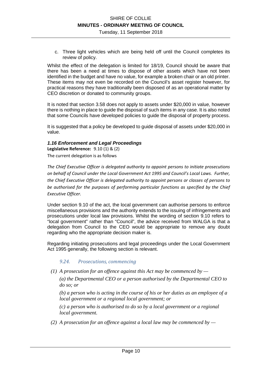c. Three light vehicles which are being held off until the Council completes its review of policy.

Whilst the effect of the delegation is limited for 18/19, Council should be aware that there has been a need at times to dispose of other assets which have not been identified in the budget and have no value, for example a broken chair or an old printer. These items may not even be recorded on the Council's asset register however, for practical reasons they have traditionally been disposed of as an operational matter by CEO discretion or donated to community groups.

It is noted that section 3.58 does not apply to assets under \$20,000 in value, however there is nothing in place to guide the disposal of such items in any case. It is also noted that some Councils have developed policies to guide the disposal of property process.

It is suggested that a policy be developed to guide disposal of assets under \$20,000 in value.

### *1.16 Enforcement and Legal Proceedings*

**Legislative Reference:** 9.10 (1) & (2) The current delegation is as follows

*The Chief Executive Officer is delegated authority to appoint persons to initiate prosecutions on behalf of Council under the Local Government Act 1995 and Council's Local Laws. Further, the Chief Executive Officer is delegated authority to appoint persons or classes of persons to be authorised for the purposes of performing particular functions as specified by the Chief Executive Officer.* 

Under section 9.10 of the act, the local government can authorise persons to enforce miscellaneous provisions and the authority extends to the issuing of infringements and prosecutions under local law provisions. Whilst the wording of section 9.10 refers to "local government" rather than "Council", the advice received from WALGA is that a delegation from Council to the CEO would be appropriate to remove any doubt regarding who the appropriate decision maker is.

Regarding initiating prosecutions and legal proceedings under the Local Government Act 1995 generally, the following section is relevant.

### *9.24. Prosecutions, commencing*

 *(1) A prosecution for an offence against this Act may be commenced by —* 

*(a) the Departmental CEO or a person authorised by the Departmental CEO to do so; or* 

*(b) a person who is acting in the course of his or her duties as an employee of a local government or a regional local government; or* 

*(c) a person who is authorised to do so by a local government or a regional local government.* 

 *(2) A prosecution for an offence against a local law may be commenced by —*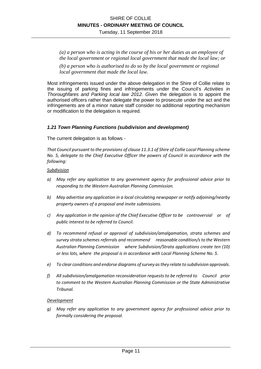*(a) a person who is acting in the course of his or her duties as an employee of the local government or regional local government that made the local law; or* 

*(b) a person who is authorised to do so by the local government or regional local government that made the local law.* 

Most infringements issued under the above delegation in the Shire of Collie relate to the issuing of parking fines and infringements under the Council's *Activities in Thoroughfares and Parking local law 2012. G*iven the delegation is to appoint the authorised officers rather than delegate the power to prosecute under the act and the infringements are of a minor nature staff consider no additional reporting mechanism or modification to the delegation is required.

#### *1.21 Town Planning Functions (subdivision and development)*

The current delegation is as follows -

*That Council pursuant to the provisions of clause 11.3.1 of Shire of Collie Local Planning scheme No. 5, delegate to the Chief Executive Officer the powers of Council in accordance with the following:* 

#### *Subdivision*

- *a) May refer any application to any government agency for professional advice prior to responding to the Western Australian Planning Commission.*
- *b) May advertise any application in a local circulating newspaper or notify adjoining/nearby property owners of a proposal and invite submissions.*
- *c) Any application in the opinion of the Chief Executive Officer to be controversial or of public interest to be referred to Council.*
- *d) To recommend refusal or approval of subdivision/amalgamation, strata schemes and survey strata schemes referrals and recommend reasonable condition/s to the Western Australian Planning Commission where Subdivision/Strata applications create ten (10) or less lots, where the proposal is in accordance with Local Planning Scheme No. 5.*
- *e) To clear conditions and endorse diagrams of survey as they relate to subdivision approvals.*
- *f) All subdivision/amalgamation reconsideration requests to be referred to Council prior to comment to the Western Australian Planning Commission or the State Administrative Tribunal.*

#### *Development*

*g) May refer any application to any government agency for professional advice prior to formally considering the proposal.*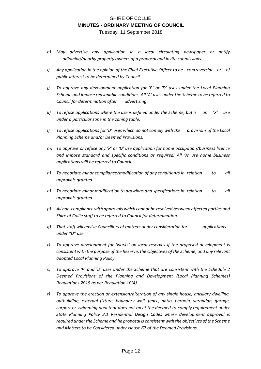- *h) May advertise any application in a local circulating newspaper or notify adjoining/nearby property owners of a proposal and invite submissions.*
- *i) Any application in the opinion of the Chief Executive Officer to be controversial or of public interest to be determined by Council.*
- *j) To approve any development application for 'P' or 'D' uses under the Local Planning Scheme and impose reasonable conditions. All 'A' uses under the Scheme to be referred to Council for determination after advertising.*
- *k) To refuse applications where the use is defined under the Scheme, but is an 'X' use under a particular zone in the zoning table.*
- *l*) To refuse applications for 'D' uses which do not comply with the provisions of the Local *Planning Scheme and/or Deemed Provisions.*
- *m) To approve or refuse any 'P' or 'D' use application for home occupation/business licence and impose standard and specific conditions as required. All 'A' use home business applications will be referred to Council.*
- *n) To negotiate minor compliance/modification of any condition/s in relation to all approvals granted.*
- *o) To negotiate minor modification to drawings and specifications in relation to all approvals granted.*
- *p) All non-compliance with approvals which cannot be resolved between affected parties and Shire of Collie staff to be referred to Council for determination.*
- *q) That staff will advise Councillors of matters under consideration for applications under "D" use*
- *r) To approve development for 'works' on local reserves if the proposed development is consistent with the purpose of the Reserve, the Objectives of the Scheme, and any relevant adopted Local Planning Policy.*
- *s) To approve 'P' and 'D' uses under the Scheme that are consistent with the Schedule 2 Deemed Provisions of the Planning and Development (Local Planning Schemes) Regulations 2015 as per Regulation 10(4).*
- *t) To approve the erection or extension/alteration of any single house, ancillary dwelling, outbuilding, external fixture, boundary wall, fence, patio, pergola, verandah, garage, carport or swimming pool that does not meet the deemed-to-comply requirement under State Planning Policy 3.1 Residential Design Codes where development approval is required under the Scheme and he proposal is consistent with the objectives of the Scheme and Matters to be Considered under clause 67 of the Deemed Provisions.*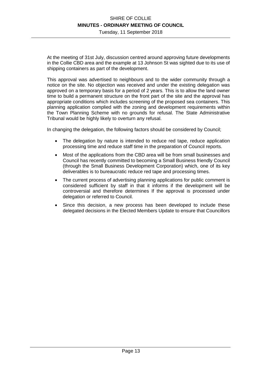Tuesday, 11 September 2018

At the meeting of 31st July, discussion centred around approving future developments in the Collie CBD area and the example at 13 Johnson St was sighted due to its use of shipping containers as part of the development.

This approval was advertised to neighbours and to the wider community through a notice on the site. No objection was received and under the existing delegation was approved on a temporary basis for a period of 2 years. This is to allow the land owner time to build a permanent structure on the front part of the site and the approval has appropriate conditions which includes screening of the proposed sea containers. This planning application complied with the zoning and development requirements within the Town Planning Scheme with no grounds for refusal. The State Administrative Tribunal would be highly likely to overturn any refusal.

In changing the delegation, the following factors should be considered by Council;

- The delegation by nature is intended to reduce red tape, reduce application processing time and reduce staff time in the preparation of Council reports.
- Most of the applications from the CBD area will be from small businesses and Council has recently committed to becoming a Small Business friendly Council (through the Small Business Development Corporation) which, one of its key deliverables is to bureaucratic reduce red tape and processing times.
- The current process of advertising planning applications for public comment is considered sufficient by staff in that it informs if the development will be controversial and therefore determines If the approval is processed under delegation or referred to Council.
- Since this decision, a new process has been developed to include these delegated decisions in the Elected Members Update to ensure that Councillors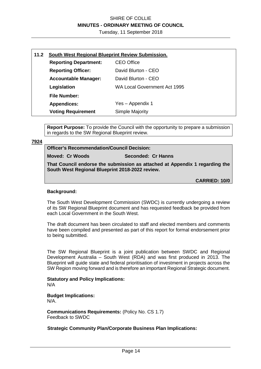Tuesday, 11 September 2018

| 11.2                                   | South West Regional Blueprint Review Submission.  |                                     |  |
|----------------------------------------|---------------------------------------------------|-------------------------------------|--|
|                                        | <b>CEO Office</b><br><b>Reporting Department:</b> |                                     |  |
|                                        | <b>Reporting Officer:</b>                         | David Blurton - CEO                 |  |
|                                        | <b>Accountable Manager:</b>                       | David Blurton - CEO                 |  |
|                                        | Legislation                                       | <b>WA Local Government Act 1995</b> |  |
|                                        | <b>File Number:</b>                               |                                     |  |
| Yes – Appendix 1<br><b>Appendices:</b> |                                                   |                                     |  |
|                                        | <b>Voting Requirement</b>                         | Simple Majority                     |  |

**Report Purpose:** To provide the Council with the opportunity to prepare a submission in regards to the SW Regional Blueprint review.

#### **7924**

**Officer's Recommendation/Council Decision:** 

**Moved: Cr Woods Seconded: Cr Hanns** 

**That Council endorse the submission as attached at Appendix 1 regarding the South West Regional Blueprint 2018-2022 review.** 

**CARRIED: 10/0** 

#### **Background:**

The South West Development Commission (SWDC) is currently undergoing a review of its SW Regional Blueprint document and has requested feedback be provided from each Local Government in the South West.

The draft document has been circulated to staff and elected members and comments have been compiled and presented as part of this report for formal endorsement prior to being submitted.

The SW Regional Blueprint is a joint publication between SWDC and Regional Development Australia – South West (RDA) and was first produced in 2013. The Blueprint will guide state and federal prioritisation of investment in projects across the SW Region moving forward and is therefore an important Regional Strategic document.

**Statutory and Policy Implications:**  N/A

**Budget Implications:**  N/A.

**Communications Requirements:** (Policy No. CS 1.7) Feedback to SWDC

#### **Strategic Community Plan/Corporate Business Plan Implications:**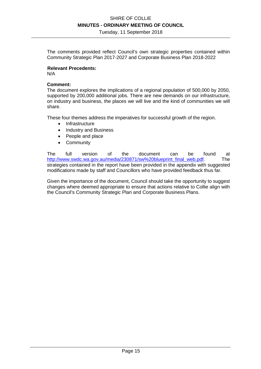Tuesday, 11 September 2018

The comments provided reflect Council's own strategic properties contained within Community Strategic Plan 2017-2027 and Corporate Business Plan 2018-2022

#### **Relevant Precedents:**

N/A

#### **Comment:**

The document explores the implications of a regional population of 500,000 by 2050, supported by 200,000 additional jobs. There are new demands on our infrastructure, on industry and business, the places we will live and the kind of communities we will share.

These four themes address the imperatives for successful growth of the region.

- Infrastructure
- Industry and Business
- People and place
- **Community**

The full version of the document can be found at http://www.swdc.wa.gov.au/media/230871/sw%20blueprint\_final\_web.pdf. The strategies contained in the report have been provided in the appendix with suggested modifications made by staff and Councillors who have provided feedback thus far.

Given the importance of the document, Council should take the opportunity to suggest changes where deemed appropriate to ensure that actions relative to Collie align with the Council's Community Strategic Plan and Corporate Business Plans.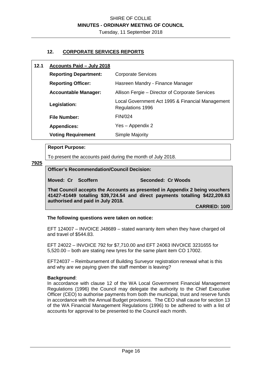#### **12. CORPORATE SERVICES REPORTS**

#### **12.1 Accounts Paid – July 2018**

| <b>Reporting Department:</b> | <b>Corporate Services</b>                                            |  |
|------------------------------|----------------------------------------------------------------------|--|
| <b>Reporting Officer:</b>    | Hasreen Mandry - Finance Manager                                     |  |
| <b>Accountable Manager:</b>  | Allison Fergie – Director of Corporate Services                      |  |
| Legislation:                 | Local Government Act 1995 & Financial Management<br>Regulations 1996 |  |
| <b>File Number:</b>          | <b>FIN/024</b>                                                       |  |
| <b>Appendices:</b>           | Yes – Appendix 2                                                     |  |
| <b>Voting Requirement</b>    | Simple Majority                                                      |  |

#### **Report Purpose:**

To present the accounts paid during the month of July 2018.

**7925** 

#### **Officer's Recommendation/Council Decision:**

**Moved: Cr Scoffern Seconded: Cr Woods** 

**That Council accepts the Accounts as presented in Appendix 2 being vouchers 41427-41449 totalling \$39,724.54 and direct payments totalling \$422,209.63 authorised and paid in July 2018.** 

**CARRIED: 10/0** 

#### **The following questions were taken on notice:**

EFT 124007 – INVOICE J48689 – stated warranty item when they have charged oil and travel of \$544.83.

EFT 24022 – INVOICE 792 for \$7,710.00 and EFT 24063 INVOICE 3231655 for 5,520.00 – both are stating new tyres for the same plant item CO 17002.

EFT24037 – Reimbursement of Building Surveyor registration renewal what is this and why are we paying given the staff member is leaving?

#### **Background**:

In accordance with clause 12 of the WA Local Government Financial Management Regulations (1996) the Council may delegate the authority to the Chief Executive Officer (CEO) to authorise payments from both the municipal, trust and reserve funds in accordance with the Annual Budget provisions. The CEO shall cause for section 13 of the WA Financial Management Regulations (1996) to be adhered to with a list of accounts for approval to be presented to the Council each month.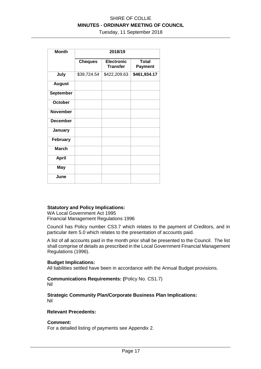Tuesday, 11 September 2018

| <b>Month</b>     | 2018/19        |                                      |                                |  |
|------------------|----------------|--------------------------------------|--------------------------------|--|
|                  | <b>Cheques</b> | <b>Electronic</b><br><b>Transfer</b> | <b>Total</b><br><b>Payment</b> |  |
| July             | \$39,724.54    | \$422,209.63                         | \$461,934.17                   |  |
| <b>August</b>    |                |                                      |                                |  |
| <b>September</b> |                |                                      |                                |  |
| October          |                |                                      |                                |  |
| <b>November</b>  |                |                                      |                                |  |
| <b>December</b>  |                |                                      |                                |  |
| January          |                |                                      |                                |  |
| <b>February</b>  |                |                                      |                                |  |
| <b>March</b>     |                |                                      |                                |  |
| <b>April</b>     |                |                                      |                                |  |
| <b>May</b>       |                |                                      |                                |  |
| June             |                |                                      |                                |  |

#### **Statutory and Policy Implications:**

WA Local Government Act 1995 Financial Management Regulations 1996

Council has Policy number CS3.7 which relates to the payment of Creditors, and in particular item 5.0 which relates to the presentation of accounts paid.

A list of all accounts paid in the month prior shall be presented to the Council. The list shall comprise of details as prescribed in the Local Government Financial Management Regulations (1996).

#### **Budget Implications:**

All liabilities settled have been in accordance with the Annual Budget provisions.

**Communications Requirements: (**Policy No. CS1.7) Nil

**Strategic Community Plan/Corporate Business Plan Implications:**  Nil

#### **Relevant Precedents:**

#### **Comment:**

For a detailed listing of payments see Appendix 2.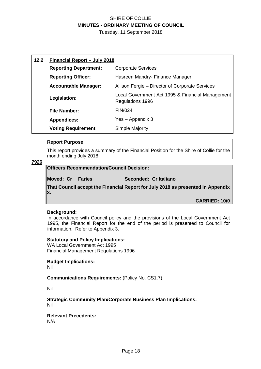Tuesday, 11 September 2018

| 12.2 | Financial Report - July 2018                              |                                                                      |  |
|------|-----------------------------------------------------------|----------------------------------------------------------------------|--|
|      | <b>Reporting Department:</b><br><b>Corporate Services</b> |                                                                      |  |
|      | <b>Reporting Officer:</b>                                 | Hasreen Mandry- Finance Manager                                      |  |
|      | <b>Accountable Manager:</b>                               | Allison Fergie - Director of Corporate Services                      |  |
|      | Legislation:                                              | Local Government Act 1995 & Financial Management<br>Regulations 1996 |  |
|      | <b>File Number:</b>                                       | <b>FIN/024</b>                                                       |  |
|      | <b>Appendices:</b>                                        | Yes - Appendix 3                                                     |  |
|      | <b>Voting Requirement</b>                                 | Simple Majority                                                      |  |

#### **Report Purpose:**

This report provides a summary of the Financial Position for the Shire of Collie for the month ending July 2018.

#### **7926**

### **Officers Recommendation/Council Decision:**

**Moved: Cr** Faries Seconded: Cr Italiano

**That Council accept the Financial Report for July 2018 as presented in Appendix 3.** 

**CARRIED: 10/0** 

#### **Background:**

In accordance with Council policy and the provisions of the Local Government Act 1995, the Financial Report for the end of the period is presented to Council for information. Refer to Appendix 3.

#### **Statutory and Policy Implications:**

WA Local Government Act 1995 Financial Management Regulations 1996

### **Budget Implications:**

Nil

#### **Communications Requirements:** (Policy No. CS1.7)

Nil

**Strategic Community Plan/Corporate Business Plan Implications:**  Nil

#### **Relevant Precedents:**  N/A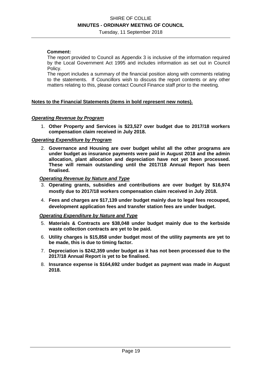Tuesday, 11 September 2018

#### **Comment:**

The report provided to Council as Appendix 3 is inclusive of the information required by the Local Government Act 1995 and includes information as set out in Council Policy.

The report includes a summary of the financial position along with comments relating to the statements. If Councillors wish to discuss the report contents or any other matters relating to this, please contact Council Finance staff prior to the meeting.

#### **Notes to the Financial Statements (items in bold represent new notes).**

#### *Operating Revenue by Program*

1. **Other Property and Services is \$23,527 over budget due to 2017/18 workers compensation claim received in July 2018.** 

#### *Operating Expenditure by Program*

2. **Governance and Housing are over budget whilst all the other programs are under budget as insurance payments were paid in August 2018 and the admin allocation, plant allocation and depreciation have not yet been processed. These will remain outstanding until the 2017/18 Annual Report has been finalised.** 

#### *Operating Revenue by Nature and Type*

- 3. **Operating grants, subsidies and contributions are over budget by \$16,974 mostly due to 2017/18 workers compensation claim received in July 2018.**
- 4. **Fees and charges are \$17,139 under budget mainly due to legal fees recouped, development application fees and transfer station fees are under budget.**

#### *Operating Expenditure by Nature and Type*

- 5. **Materials & Contracts are \$38,048 under budget mainly due to the kerbside waste collection contracts are yet to be paid.**
- 6. **Utility charges is \$15,858 under budget most of the utility payments are yet to be made, this is due to timing factor.**
- 7. **Depreciation is \$242,359 under budget as it has not been processed due to the 2017/18 Annual Report is yet to be finalised.**
- 8. **Insurance expense is \$164,692 under budget as payment was made in August 2018.**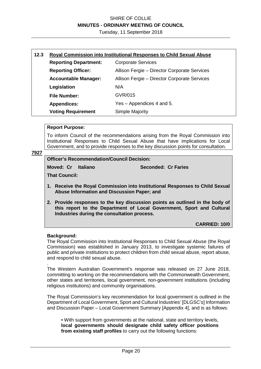Tuesday, 11 September 2018

| 12.3 | <b>Royal Commission into Institutional Responses to Child Sexual Abuse</b> |                                              |  |
|------|----------------------------------------------------------------------------|----------------------------------------------|--|
|      | <b>Reporting Department:</b>                                               | <b>Corporate Services</b>                    |  |
|      | <b>Reporting Officer:</b>                                                  | Allison Fergie - Director Corporate Services |  |
|      | <b>Accountable Manager:</b>                                                | Allison Fergie - Director Corporate Services |  |
|      | Legislation                                                                | N/A                                          |  |
|      | <b>File Number:</b>                                                        | GVR/015                                      |  |
|      | <b>Appendices:</b>                                                         | Yes – Appendices 4 and 5.                    |  |
|      | <b>Voting Requirement</b>                                                  | <b>Simple Majority</b>                       |  |

#### **Report Purpose:**

To inform Council of the recommendations arising from the Royal Commission into Institutional Responses to Child Sexual Abuse that have implications for Local Government, and to provide responses to the key discussion points for consultation.

#### **7927**

**Officer's Recommendation/Council Decision:** 

**Moved: Cr Italiano Seconded: Cr Faries** 

**That Council:** 

- **1. Receive the Royal Commission into Institutional Responses to Child Sexual Abuse Information and Discussion Paper; and**
- **2. Provide responses to the key discussion points as outlined in the body of this report to the Department of Local Government, Sport and Cultural Industries during the consultation process.**

**CARRIED: 10/0** 

#### **Background:**

.

The Royal Commission into Institutional Responses to Child Sexual Abuse (the Royal Commission) was established in January 2013, to investigate systemic failures of public and private institutions to protect children from child sexual abuse, report abuse, and respond to child sexual abuse.

The Western Australian Government's response was released on 27 June 2018, committing to working on the recommendations with the Commonwealth Government, other states and territories, local government, non-government institutions (including religious institutions) and community organisations.

The Royal Commission's key recommendation for local government is outlined in the Department of Local Government, Sport and Cultural Industries' [DLGSC's] Information and Discussion Paper – Local Government Summary [Appendix 4], and is as follows:

• With support from governments at the national, state and territory levels, **local governments should designate child safety officer positions from existing staff profiles** to carry out the following functions: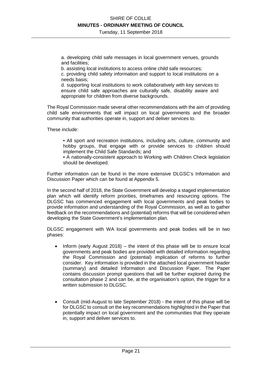a. developing child safe messages in local government venues, grounds and facilities;

b. assisting local institutions to access online child safe resources;

c. providing child safety information and support to local institutions on a needs basis;

d. supporting local institutions to work collaboratively with key services to ensure child safe approaches are culturally safe, disability aware and appropriate for children from diverse backgrounds.

The Royal Commission made several other recommendations with the aim of providing child safe environments that will impact on local governments and the broader community that authorities operate in, support and deliver services to.

These include:

• All sport and recreation institutions, including arts, culture, community and hobby groups, that engage with or provide services to children should implement the Child Safe Standards; and

• A nationally-consistent approach to Working with Children Check legislation should be developed.

Further information can be found in the more extensive DLGSC's Information and Discussion Paper which can be found at Appendix 5.

In the second half of 2018, the State Government will develop a staged implementation plan which will identify reform priorities, timeframes and resourcing options. The DLGSC has commenced engagement with local governments and peak bodies to provide information and understanding of the Royal Commission, as well as to gather feedback on the recommendations and (potential) reforms that will be considered when developing the State Government's implementation plan.

DLGSC engagement with WA local governments and peak bodies will be in two phases:

- Inform (early August 2018) the intent of this phase will be to ensure local governments and peak bodies are provided with detailed information regarding the Royal Commission and (potential) implication of reforms to further consider. Key information is provided in the attached local government header (summary) and detailed Information and Discussion Paper. The Paper contains discussion prompt questions that will be further explored during the consultation phase 2 and can be, at the organisation's option, the trigger for a written submission to DLGSC.
- Consult (mid-August to late September 2018) the intent of this phase will be for DLGSC to consult on the key recommendations highlighted in the Paper that potentially impact on local government and the communities that they operate in, support and deliver services to.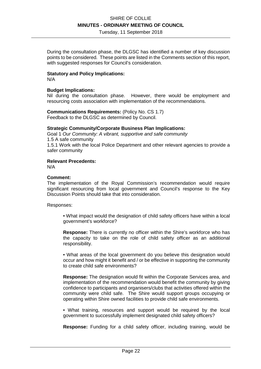Tuesday, 11 September 2018

During the consultation phase, the DLGSC has identified a number of key discussion points to be considered. These points are listed in the Comments section of this report, with suggested responses for Council's consideration.

#### **Statutory and Policy Implications:**

N/A

#### **Budget Implications:**

Nil during the consultation phase. However, there would be employment and resourcing costs association with implementation of the recommendations.

#### **Communications Requirements:** (Policy No. CS 1.7)

Feedback to the DLGSC as determined by Council.

#### **Strategic Community/Corporate Business Plan Implications:**

Goal 1 *Our Community: A vibrant, supportive and safe community*  1.5 A safe community 1.5.1 Work with the local Police Department and other relevant agencies to provide a safer community

#### **Relevant Precedents:**

N/A

#### **Comment:**

The implementation of the Royal Commission's recommendation would require significant resourcing from local government and Council's response to the Key Discussion Points should take that into consideration.

Responses:

• What impact would the designation of child safety officers have within a local government's workforce?

**Response:** There is currently no officer within the Shire's workforce who has the capacity to take on the role of child safety officer as an additional responsibility.

• What areas of the local government do you believe this designation would occur and how might it benefit and / or be effective in supporting the community to create child safe environments?

**Response:** The designation would fit within the Corporate Services area, and implementation of the recommendation would benefit the community by giving confidence to participants and organisers/clubs that activities offered within the community were child safe. The Shire would support groups occupying or operating within Shire owned facilities to provide child safe environments.

• What training, resources and support would be required by the local government to successfully implement designated child safety officers?

**Response:** Funding for a child safety officer, including training, would be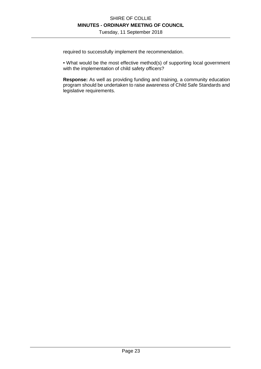required to successfully implement the recommendation.

• What would be the most effective method(s) of supporting local government with the implementation of child safety officers?

**Response:** As well as providing funding and training, a community education program should be undertaken to raise awareness of Child Safe Standards and legislative requirements.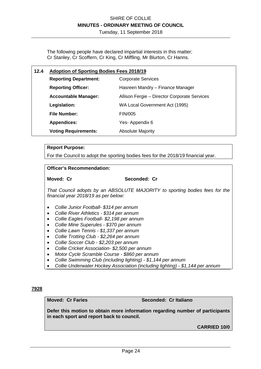The following people have declared impartial interests in this matter; Cr Stanley, Cr Scoffern, Cr King, Cr Miffling, Mr Blurton, Cr Hanns.

### **12.4 Adoption of Sporting Bodies Fees 2018/19**

| <b>Reporting Department:</b> | <b>Corporate Services</b>                    |
|------------------------------|----------------------------------------------|
| <b>Reporting Officer:</b>    | Hasreen Mandry – Finance Manager             |
| <b>Accountable Manager:</b>  | Allison Fergie – Director Corporate Services |
| Legislation:                 | WA Local Government Act (1995)               |
| <b>File Number:</b>          | <b>FIN/005</b>                               |
| <b>Appendices:</b>           | Yes-Appendix 6                               |
| <b>Voting Requirements:</b>  | <b>Absolute Majority</b>                     |

#### **Report Purpose:**

For the Council to adopt the sporting bodies fees for the 2018/19 financial year.

#### **Officer's Recommendation:**

#### Moved: Cr Seconded: Cr

*That Council adopts by an ABSOLUTE MAJORITY to sporting bodies fees for the financial year 2018/19 as per below:* 

- *Collie Junior Football- \$314 per annum*
- *Collie River Athletics \$314 per annum*
- *Collie Eagles Football- \$2,198 per annum*
- *Collie Mine Superules \$370 per annum*
- *Collie Lawn Tennis \$1,337 per annum*
- *Collie Trotting Club \$2,264 per annum*
- *Collie Soccer Club \$2,203 per annum*
- *Collie Cricket Association- \$2,500 per annum*
- *Motor Cycle Scramble Course \$860 per annum*
- *Collie Swimming Club (including lighting) \$1,144 per annum*
- *Collie Underwater Hockey Association (including lighting) \$1,144 per annum*

#### **7928**

#### **Moved: Cr Faries Seconded: Cr Italiano**

**Defer this motion to obtain more information regarding number of participants in each sport and report back to council.** 

**CARRIED 10/0**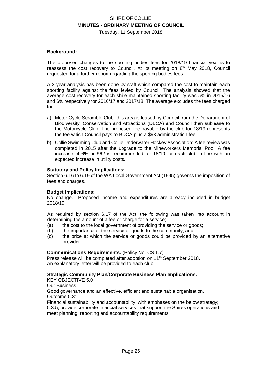#### **Background:**

The proposed changes to the sporting bodies fees for 2018/19 financial year is to reassess the cost recovery to Council. At its meeting on 8<sup>th</sup> May 2018, Council requested for a further report regarding the sporting bodies fees.

A 3-year analysis has been done by staff which compared the cost to maintain each sporting facility against the fees levied by Council. The analysis showed that the average cost recovery for each shire maintained sporting facility was 5% in 2015/16 and 6% respectively for 2016/17 and 2017/18. The average excludes the fees charged for:

- a) Motor Cycle Scramble Club: this area is leased by Council from the Department of Biodiversity, Conservation and Attractions (DBCA) and Council then sublease to the Motorcycle Club. The proposed fee payable by the club for 18/19 represents the fee which Council pays to BDCA plus a \$93 administration fee.
- b) Collie Swimming Club and Collie Underwater Hockey Association: A fee review was completed in 2015 after the upgrade to the Mineworkers Memorial Pool. A fee increase of 6% or \$62 is recommended for 18/19 for each club in line with an expected increase in utility costs.

#### **Statutory and Policy Implications:**

Section 6.16 to 6.19 of the WA Local Government Act (1995) governs the imposition of fees and charges.

#### **Budget Implications:**

No change. Proposed income and expenditures are already included in budget 2018/19.

As required by section 6.17 of the Act, the following was taken into account in determining the amount of a fee or charge for a service;

- (a) the cost to the local government of providing the service or goods;
- (b) the importance of the service or goods to the community; and
- (c) the price at which the service or goods could be provided by an alternative provider.

#### **Communications Requirements:** (Policy No. CS 1.7)

Press release will be completed after adoption on 11<sup>th</sup> September 2018. An explanatory letter will be provided to each club.

#### **Strategic Community Plan/Corporate Business Plan Implications:**

KEY OBJECTIVE 5.0

Our Business

Good governance and an effective, efficient and sustainable organisation. Outcome 5.3:

Financial sustainability and accountability, with emphases on the below strategy; 5.3.5, provide corporate financial services that support the Shires operations and meet planning, reporting and accountability requirements.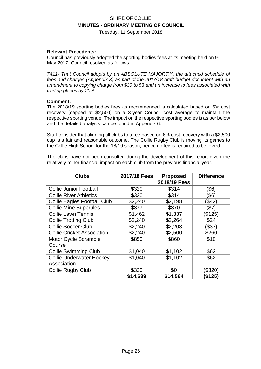Tuesday, 11 September 2018

#### **Relevant Precedents:**

Council has previously adopted the sporting bodies fees at its meeting held on  $9<sup>th</sup>$ May 2017. Council resolved as follows:

*7411- That Council adopts by an ABSOLUTE MAJORTIY, the attached schedule of fees and charges (Appendix 3) as part of the 2017/18 draft budget document with an amendment to copying charge from \$30 to \$3 and an increase to fees associated with trading places by 20%.* 

#### **Comment:**

The 2018/19 sporting bodies fees as recommended is calculated based on 6% cost recovery (capped at \$2,500) on a 3-year Council cost average to maintain the respective sporting venue. The impact on the respective sporting bodies is as per below and the detailed analysis can be found in Appendix 6.

Staff consider that aligning all clubs to a fee based on 6% cost recovery with a \$2,500 cap is a fair and reasonable outcome. The Collie Rugby Club is moving its games to the Collie High School for the 18/19 season, hence no fee is required to be levied.

The clubs have not been consulted during the development of this report given the relatively minor financial impact on each club from the previous financial year.

| <b>Clubs</b>                                   | 2017/18 Fees | <b>Proposed</b><br>2018/19 Fees | <b>Difference</b> |
|------------------------------------------------|--------------|---------------------------------|-------------------|
| <b>Collie Junior Football</b>                  | \$320        | \$314                           | (\$6)             |
| <b>Collie River Athletics</b>                  | \$320        | \$314                           | (\$6              |
| <b>Collie Eagles Football Club</b>             | \$2,240      | \$2,198                         | (\$42)            |
| <b>Collie Mine Superules</b>                   | \$377        | \$370                           | (\$7)             |
| <b>Collie Lawn Tennis</b>                      | \$1,462      | \$1,337                         | (\$125)           |
| <b>Collie Trotting Club</b>                    | \$2,240      | \$2,264                         | \$24              |
| <b>Collie Soccer Club</b>                      | \$2,240      | \$2,203                         | (\$37)            |
| <b>Collie Cricket Association</b>              | \$2,240      | \$2,500                         | \$260             |
| <b>Motor Cycle Scramble</b><br>Course          | \$850        | \$860                           | \$10              |
| <b>Collie Swimming Club</b>                    | \$1,040      | \$1,102                         | \$62              |
| <b>Collie Underwater Hockey</b><br>Association | \$1,040      | \$1,102                         | \$62              |
| <b>Collie Rugby Club</b>                       | \$320        | \$0                             | (\$320)           |
|                                                | \$14,689     | \$14,564                        | (\$125)           |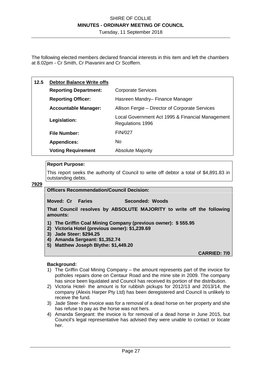Tuesday, 11 September 2018

The following elected members declared financial interests in this item and left the chambers at 8.02pm - Cr Smith, Cr Piavanini and Cr Scoffern.

| 12.5 | <b>Debtor Balance Write offs</b> |                                                                      |
|------|----------------------------------|----------------------------------------------------------------------|
|      | <b>Reporting Department:</b>     | <b>Corporate Services</b>                                            |
|      | <b>Reporting Officer:</b>        | Hasreen Mandry-Finance Manager                                       |
|      | <b>Accountable Manager:</b>      | Allison Fergie – Director of Corporate Services                      |
|      | Legislation:                     | Local Government Act 1995 & Financial Management<br>Regulations 1996 |
|      | <b>File Number:</b>              | <b>FIN/027</b>                                                       |
|      | <b>Appendices:</b>               | No.                                                                  |
|      | <b>Voting Requirement</b>        | <b>Absolute Majority</b>                                             |

#### **Report Purpose:**

This report seeks the authority of Council to write off debtor a total of \$4,891.83 in outstanding debts.

#### **7929**

#### **Officers Recommendation/Council Decision:**

**Moved: Cr Faries Seconded: Woods** 

**That Council resolves by ABSOLUTE MAJORITY to write off the following amounts:** 

- **1) The Griffin Coal Mining Company (previous owner): \$ 555.95**
- **2) Victoria Hotel (previous owner): \$1,239.69**
- **3) Jade Steer: \$294.25**
- **4) Amanda Sergeant: \$1,352.74**
- **5) Matthew Joseph Blythe: \$1,449.20**

**CARRIED: 7/0** 

#### **Background:**

- 1) The Griffin Coal Mining Company the amount represents part of the invoice for potholes repairs done on Centaur Road and the mine site in 2009. The company has since been liquidated and Council has received its portion of the distribution.
- 2) Victoria Hotel- the amount is for rubbish pickups for 2012/13 and 2013/14, the company (Alexis Harper Pty Ltd) has been deregistered and Council is unlikely to receive the fund.
- 3) Jade Steer- the invoice was for a removal of a dead horse on her property and she has refuse to pay as the horse was not hers.
- 4) Amanda Sergeant: the invoice is for removal of a dead horse in June 2015, but Council's legal representative has advised they were unable to contact or locate her.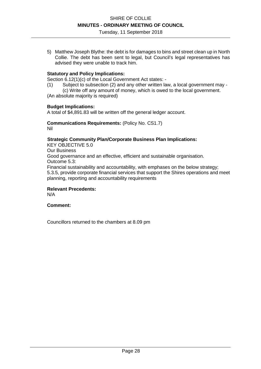5) Matthew Joseph Blythe: the debt is for damages to bins and street clean up in North Collie. The debt has been sent to legal, but Council's legal representatives has advised they were unable to track him.

#### **Statutory and Policy Implications:**

Section 6.12(1)(c) of the Local Government Act states: -

- (1) Subject to subsection (2) and any other written law, a local government may -
- (c) Write off any amount of money, which is owed to the local government. (An absolute majority is required)

#### **Budget Implications:**

A total of \$4,891.83 will be written off the general ledger account.

#### **Communications Requirements:** (Policy No. CS1.7) Nil

#### **Strategic Community Plan/Corporate Business Plan Implications:**

KEY OBJECTIVE 5.0 Our Business

Good governance and an effective, efficient and sustainable organisation. Outcome 5.3:

Financial sustainability and accountability, with emphases on the below strategy; 5.3.5, provide corporate financial services that support the Shires operations and meet planning, reporting and accountability requirements

#### **Relevant Precedents:**

N/A

#### **Comment:**

Councillors returned to the chambers at 8.09 pm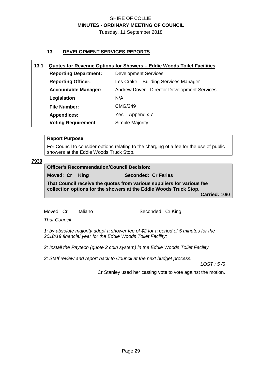#### **13. DEVELOPMENT SERVICES REPORTS**

#### **13.1 Quotes for Revenue Options for Showers – Eddie Woods Toilet Facilities**

| <b>Reporting Department:</b> | <b>Development Services</b>                  |
|------------------------------|----------------------------------------------|
| <b>Reporting Officer:</b>    | Les Crake - Building Services Manager        |
| <b>Accountable Manager:</b>  | Andrew Dover - Director Development Services |
| Legislation                  | N/A                                          |
| <b>File Number:</b>          | CMG/249                                      |
| <b>Appendices:</b>           | Yes - Appendix 7                             |
| <b>Voting Requirement</b>    | Simple Majority                              |

#### **Report Purpose:**

For Council to consider options relating to the charging of a fee for the use of public showers at the Eddie Woods Truck Stop.

#### **7930**

#### **Officer's Recommendation/Council Decision:**

**Moved: Cr King Seconded: Cr Faries** 

**That Council receive the quotes from various suppliers for various fee collection options for the showers at the Eddie Woods Truck Stop.** 

**Carried: 10/0** 

Moved: Cr Italiano Seconded: Cr King

*That Council* 

*1: by absolute majority adopt a shower fee of \$2 for a period of 5 minutes for the 2018/19 financial year for the Eddie Woods Toilet Facility;* 

*2: Install the Paytech (quote 2 coin system) in the Eddie Woods Toilet Facility* 

*3: Staff review and report back to Council at the next budget process.* 

*LOST : 5 /5*

Cr Stanley used her casting vote to vote against the motion.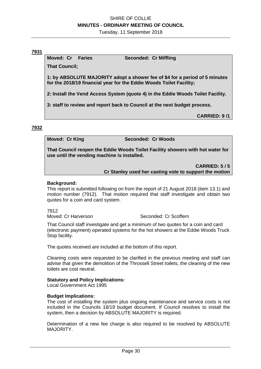Tuesday, 11 September 2018

#### **7931**

**Moved: Cr Faries Seconded: Cr Miffling** 

**That Council;** 

**1: by ABSOLUTE MAJORITY adopt a shower fee of \$4 for a period of 5 minutes for the 2018/19 financial year for the Eddie Woods Toilet Facility;** 

**2: Install the Vend Access System (quote 4) in the Eddie Woods Toilet Facility.** 

**3: staff to review and report back to Council at the next budget process.** 

**CARRIED: 9 /1** 

#### **7932**

**Moved: Cr King Canadian Seconded: Cr Woods** 

**That Council reopen the Eddie Woods Toilet Facility showers with hot water for use until the vending machine is installed.** 

**CARRIED: 5 / 5** 

**Cr Stanley used her casting vote to support the motion** 

#### **Background:**

This report is submitted following on from the report of 21 August 2018 (item 13.1) and motion number (7912). That motion required that staff investigate and obtain two quotes for a coin and card system.

7912

Moved: Cr Harverson Seconded: Cr Scoffern

That Council staff investigate and get a minimum of two quotes for a coin and card (electronic payment) operated systems for the hot showers at the Eddie Woods Truck Stop facility.

The quotes received are included at the bottom of this report.

Cleaning costs were requested to be clarified in the previous meeting and staff can advise that given the demolition of the Throssell Street toilets, the cleaning of the new toilets are cost neutral.

#### **Statutory and Policy Implications:**

Local Government Act 1995

#### **Budget Implications:**

The cost of installing the system plus ongoing maintenance and service costs is not included in the Councils 18/19 budget document. If Council resolves to install the system, then a decision by ABSOLUTE MAJORITY is required.

Determination of a new fee charge is also required to be resolved by ABSOLUTE MAJORITY.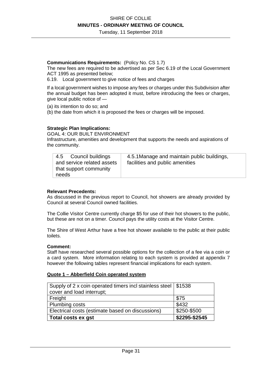Tuesday, 11 September 2018

#### **Communications Requirements:** (Policy No. CS 1.7)

The new fees are required to be advertised as per Sec 6.19 of the Local Government ACT 1995 as presented below;

6.19. Local government to give notice of fees and charges

If a local government wishes to impose any fees or charges under this Subdivision after the annual budget has been adopted it must, before introducing the fees or charges, give local public notice of —

(a) its intention to do so; and

(b) the date from which it is proposed the fees or charges will be imposed.

#### **Strategic Plan Implications:**

GOAL 4: OUR BUILT ENVIRONMENT Infrastructure, amenities and development that supports the needs and aspirations of the community.

| 4.5 Council buildings      | 4.5.1 Manage and maintain public buildings, |
|----------------------------|---------------------------------------------|
| and service related assets | facilities and public amenities             |
| that support community     |                                             |
| needs                      |                                             |

#### **Relevant Precedents:**

As discussed in the previous report to Council, hot showers are already provided by Council at several Council owned facilities.

The Collie Visitor Centre currently charge \$5 for use of their hot showers to the public, but these are not on a timer. Council pays the utility costs at the Visitor Centre.

The Shire of West Arthur have a free hot shower available to the public at their public toilets.

#### **Comment:**

Staff have researched several possible options for the collection of a fee via a coin or a card system. More information relating to each system is provided at appendix 7 however the following tables represent financial implications for each system.

#### **Quote 1 – Abberfield Coin operated system**

| Supply of 2 x coin operated timers incl stainless steel   \$1538 |                 |
|------------------------------------------------------------------|-----------------|
| cover and load interrupt;                                        |                 |
| Freight                                                          | \$75            |
| <b>Plumbing costs</b>                                            | \$432           |
| Electrical costs (estimate based on discussions)                 | \$250-\$500     |
| Total costs ex gst                                               | $$2295 - $2545$ |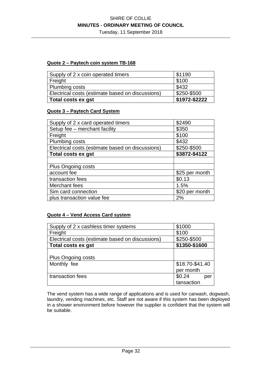Tuesday, 11 September 2018

#### **Quote 2 – Paytech coin system TB-168**

| Supply of 2 x coin operated timers               | \$1190        |
|--------------------------------------------------|---------------|
| Freight                                          | \$100         |
| <b>Plumbing costs</b>                            | \$432         |
| Electrical costs (estimate based on discussions) | \$250-\$500   |
| Total costs ex gst                               | \$1972-\$2222 |

#### **Quote 3 – Paytech Card System**

| Supply of 2 x card operated timers               | \$2490         |
|--------------------------------------------------|----------------|
| Setup fee - merchant facility                    | \$350          |
| Freight                                          | \$100          |
| Plumbing costs                                   | \$432          |
| Electrical costs (estimate based on discussions) | \$250-\$500    |
| <b>Total costs ex gst</b>                        | \$3872-\$4122  |
|                                                  |                |
| Plus Ongoing costs                               |                |
| account fee                                      | \$25 per month |
| transaction fees                                 | \$0.13         |
| Merchant fees                                    | 1.5%           |
| Sim card connection                              | \$20 per month |
| plus transaction value fee                       | 2%             |

### **Quote 4 – Vend Access Card system**

| Supply of 2 x cashless timer systems             | \$1000          |
|--------------------------------------------------|-----------------|
| Freight                                          | \$100           |
| Electrical costs (estimate based on discussions) | \$250-\$500     |
| <b>Total costs ex gst</b>                        | \$1350-\$1600   |
|                                                  |                 |
| <b>Plus Ongoing costs</b>                        |                 |
| Monthly fee                                      | \$18.70-\$41.40 |
|                                                  | per month       |
| transaction fees                                 | \$0.24<br>per   |
|                                                  | tansaction      |

The vend system has a wide range of applications and is used for carwash, dogwash, laundry, vending machines, etc. Staff are not aware if this system has been deployed in a shower environment before however the supplier is confident that the system will be suitable.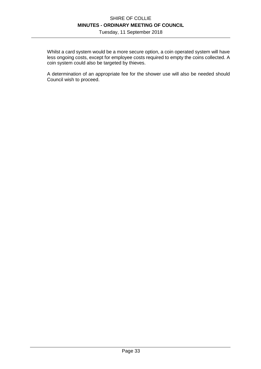Tuesday, 11 September 2018

Whilst a card system would be a more secure option, a coin operated system will have less ongoing costs, except for employee costs required to empty the coins collected. A coin system could also be targeted by thieves.

A determination of an appropriate fee for the shower use will also be needed should Council wish to proceed.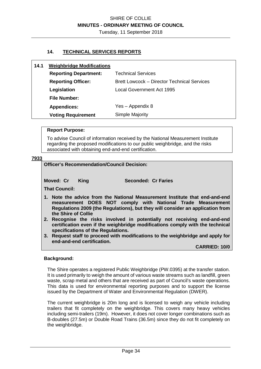#### **14. TECHNICAL SERVICES REPORTS**

| 14.1 | <b>Weighbridge Modifications</b> |                                                    |
|------|----------------------------------|----------------------------------------------------|
|      | <b>Reporting Department:</b>     | <b>Technical Services</b>                          |
|      | <b>Reporting Officer:</b>        | <b>Brett Lowcock – Director Technical Services</b> |
|      | Legislation                      | <b>Local Government Act 1995</b>                   |
|      | <b>File Number:</b>              |                                                    |
|      | <b>Appendices:</b>               | Yes - Appendix 8                                   |
|      | <b>Voting Requirement</b>        | Simple Majority                                    |

#### **Report Purpose:**

To advise Council of information received by the National Measurement Institute regarding the proposed modifications to our public weighbridge, and the risks associated with obtaining end-and-end certification.

#### **7933**

#### **Officer's Recommendation/Council Decision:**

**Moved: Cr King Seconded: Cr Faries** 

**That Council:** 

- **1. Note the advice from the National Measurement Institute that end-and-end measurement DOES NOT comply with National Trade Measurement Regulations 2009 (the Regulations), but they will consider an application from the Shire of Collie**
- **2. Recognise the risks involved in potentially not receiving end-and-end certification even if the weighbridge modifications comply with the technical specifications of the Regulations.**
- **3. Request staff to proceed with modifications to the weighbridge and apply for end-and-end certification.**

**CARRIED: 10/0** 

#### **Background:**

The Shire operates a registered Public Weighbridge (PW.0395) at the transfer station. It is used primarily to weigh the amount of various waste streams such as landfill, green waste, scrap metal and others that are received as part of Council's waste operations. This data is used for environmental reporting purposes and to support the license issued by the Department of Water and Environmental Regulation (DWER).

The current weighbridge is 20m long and is licensed to weigh any vehicle including trailers that fit completely on the weighbridge. This covers many heavy vehicles including semi-trailers (19m). However, it does not cover longer combinations such as B-doubles (27.5m) or Double Road Trains (36.5m) since they do not fit completely on the weighbridge.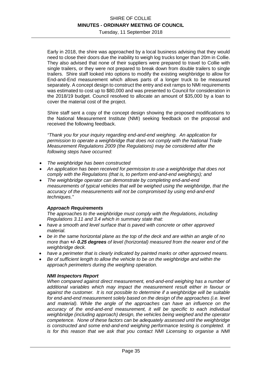Tuesday, 11 September 2018

Early in 2018, the shire was approached by a local business advising that they would need to close their doors due the inability to weigh log trucks longer than 20m in Collie. They also advised that none of their suppliers were prepared to travel to Collie with single trailers, or they were not prepared to break down from double trailers to single trailers. Shire staff looked into options to modify the existing weighbridge to allow for End-and-End measurement which allows parts of a longer truck to be measured separately. A concept design to construct the entry and exit ramps to NMI requirements was estimated to cost up to \$80,000 and was presented to Council for consideration in the 2018/19 budget. Council resolved to allocate an amount of \$35,000 by a loan to cover the material cost of the project.

Shire staff sent a copy of the concept design showing the proposed modifications to the National Measurement Institute (NMI) seeking feedback on the proposal and received the following feedback.

*"Thank you for your inquiry regarding end-and-end weighing. An application for permission to operate a weighbridge that does not comply with the National Trade Measurement Regulations 2009 (the Regulations) may be considered after the following steps have occurred:* 

- *The weighbridge has been constructed*
- *An application has been received for permission to use a weighbridge that does not comply with the Regulations (that is, to perform end-and-end weighings); and*
- *The weighbridge operator can demonstrate by completing end-and-end measurements of typical vehicles that will be weighed using the weighbridge, that the accuracy of the measurements will not be compromised by using end-and-end techniques."*

#### *Approach Requirements*

*The approaches to the weighbridge must comply with the Regulations, including Regulations 3.11 and 3.4 which in summary state that:* 

- *have a smooth and level surface that is paved with concrete or other approved material.*
- *be in the same horizontal plane as the top of the deck and are within an angle of no more than +/- 0.25 degrees of level (horizontal) measured from the nearer end of the weighbridge deck.*
- *have a perimeter that is clearly indicated by painted marks or other approved means.*
- *Be of sufficient length to allow the vehicle to be on the weighbridge and within the approach perimeters during the weighing operation.*

#### *NMI Inspectors Report*

*When compared against direct measurement, end-and-end weighing has a number of additional variables which may impact the measurement result either in favour or against the customer. It is not possible to determine if a weighbridge will be suitable for end-and-end measurement solely based on the design of the approaches (i.e. level and material). While the angle of the approaches can have an influence on the accuracy of the end-and-end measurement, it will be specific to each individual weighbridge (including approach) design, the vehicles being weighed and the operator competence. None of these factors can be adequately assessed until the weighbridge is constructed and some end-and-end weighing performance testing is completed. It is for this reason that we ask that you contact NMI Licensing to organise a NMI*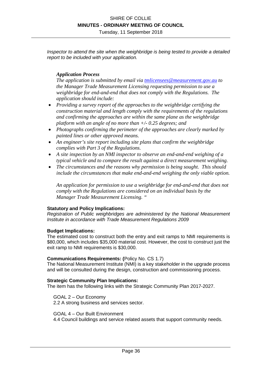*Inspector to attend the site when the weighbridge is being tested to provide a detailed report to be included with your application.* 

#### *Application Process*

*The application is submitted by email via tmlicensees@measurement.gov.au to the Manager Trade Measurement Licensing requesting permission to use a weighbridge for end-and-end that does not comply with the Regulations. The application should include:* 

- *Providing a survey report of the approaches to the weighbridge certifying the construction material and length comply with the requirements of the regulations and confirming the approaches are within the same plane as the weighbridge platform with an angle of no more than +/- 0.25 degrees; and*
- *Photographs confirming the perimeter of the approaches are clearly marked by painted lines or other approved means.*
- *An engineer's site report including site plans that confirm the weighbridge complies with Part 3 of the Regulations.*
- *A site inspection by an NMI inspector to observe an end-and-end weighing of a typical vehicle and to compare the result against a direct measurement weighing.*
- *The circumstances and the reasons why permission is being sought. This should include the circumstances that make end-and-end weighing the only viable option.*

*An application for permission to use a weighbridge for end-and-end that does not comply with the Regulations are considered on an individual basis by the Manager Trade Measurement Licensing. "* 

#### **Statutory and Policy Implications:**

*Registration of Public weighbridges are administered by the National Measurement Institute in accordance with Trade Measurement Regulations 2009* 

#### **Budget Implications:**

The estimated cost to construct both the entry and exit ramps to NMI requirements is \$80,000, which includes \$35,000 material cost. However, the cost to construct just the exit ramp to NMI requirements is \$30,000.

#### **Communications Requirements: (**Policy No. CS 1.7)

The National Measurement Institute (NMI) is a key stakeholder in the upgrade process and will be consulted during the design, construction and commissioning process.

#### **Strategic Community Plan Implications:**

The item has the following links with the Strategic Community Plan 2017-2027.

GOAL 2 – Our Economy 2.2 A strong business and services sector.

GOAL 4 – Our Built Environment

4.4 Council buildings and service related assets that support community needs.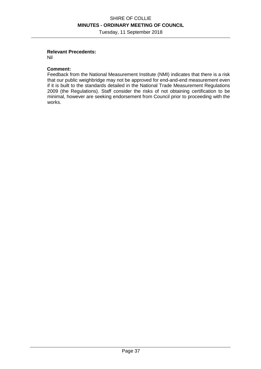Tuesday, 11 September 2018

#### **Relevant Precedents:**

Nil

#### **Comment:**

Feedback from the National Measurement Institute (NMI) indicates that there is a risk that our public weighbridge may not be approved for end-and-end measurement even if it is built to the standards detailed in the National Trade Measurement Regulations 2009 (the Regulations). Staff consider the risks of not obtaining certification to be minimal, however are seeking endorsement from Council prior to proceeding with the works.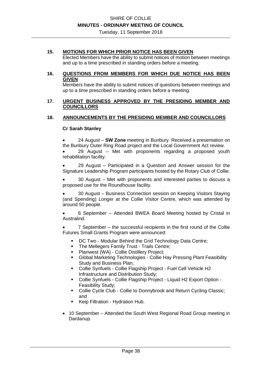#### **15. MOTIONS FOR WHICH PRIOR NOTICE HAS BEEN GIVEN**

Elected Members have the ability to submit notices of motion between meetings and up to a time prescribed in standing orders before a meeting.

#### **16. QUESTIONS FROM MEMBERS FOR WHICH DUE NOTICE HAS BEEN GIVEN**

Members have the ability to submit notices of questions between meetings and up to a time prescribed in standing orders before a meeting.

#### **17. URGENT BUSINESS APPROVED BY THE PRESIDING MEMBER AND COUNCILLORS**

#### **18. ANNOUNCEMENTS BY THE PRESIDING MEMBER AND COUNCILLORS**

#### **Cr Sarah Stanley**

• 24 August – **SW Zone** meeting in Bunbury. Received a presentation on the Bunbury Outer Ring Road project and the Local Government Act review. • 29 August – Met with proponents regarding a proposed youth rehabilitation facility.

• 29 August – Participated in a Question and Answer session for the Signature Leadership Program participants hosted by the Rotary Club of Collie.

• 30 August – Met with proponents and interested parties to discuss a proposed use for the Roundhouse facility.

• 30 August – Business Connection session on Keeping Visitors Staying (and Spending) Longer at the Collie Visitor Centre, which was attended by around 50 people.

• 6 September – Attended BWEA Board Meeting hosted by Cristal in Australind.

• 7 September – the successful recipients in the first round of the Collie Futures Small Grants Program were announced:

- DC Two Modular Behind the Grid Technology Data Centre;
- The Mellegers Family Trust Trails Centre;
- **Planwest (WA) Collie Distillery Project:**
- Global Marketing Technologies Collie Hay Pressing Plant Feasibility Study and Business Plan;
- Collie Synfuels Collie Flagship Project Fuel Cell Vehicle H2 Infrastructure and Distribution Study;
- Collie Synfuels Collie Flagship Project Liquid H2 Export Option Feasibility Study;
- **-** Collie Cycle Club Collie to Donnybrook and Return Cycling Classic; and
- Keip Filtration Hydration Hub.
- 10 September Attended the South West Regional Road Group meeting in Dardanup.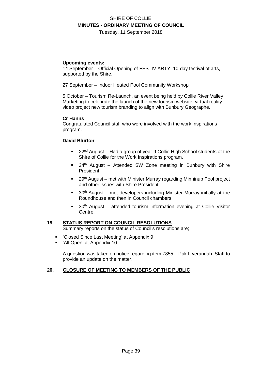Tuesday, 11 September 2018

#### **Upcoming events:**

14 September – Official Opening of FESTIV ARTY, 10-day festival of arts, supported by the Shire.

27 September – Indoor Heated Pool Community Workshop

5 October – Tourism Re-Launch, an event being held by Collie River Valley Marketing to celebrate the launch of the new tourism website, virtual reality video project new tourism branding to align with Bunbury Geographe.

#### **Cr Hanns**

Congratulated Council staff who were involved with the work inspirations program.

#### **David Blurton**:

- 22<sup>nd</sup> August Had a group of year 9 Collie High School students at the Shire of Collie for the Work Inspirations program.
- $\blacksquare$  24<sup>th</sup> August Attended SW Zone meeting in Bunbury with Shire President
- 29<sup>th</sup> August met with Minister Murray regarding Minninup Pool project and other issues with Shire President
- $30<sup>th</sup>$  August met developers including Minister Murray initially at the Roundhouse and then in Council chambers
- 30<sup>th</sup> August attended tourism information evening at Collie Visitor Centre.

#### **19. STATUS REPORT ON COUNCIL RESOLUTIONS**

Summary reports on the status of Council's resolutions are;

- 'Closed Since Last Meeting' at Appendix 9
- 'All Open' at Appendix 10

A question was taken on notice regarding item 7855 – Pak It verandah. Staff to provide an update on the matter.

#### **20. CLOSURE OF MEETING TO MEMBERS OF THE PUBLIC**